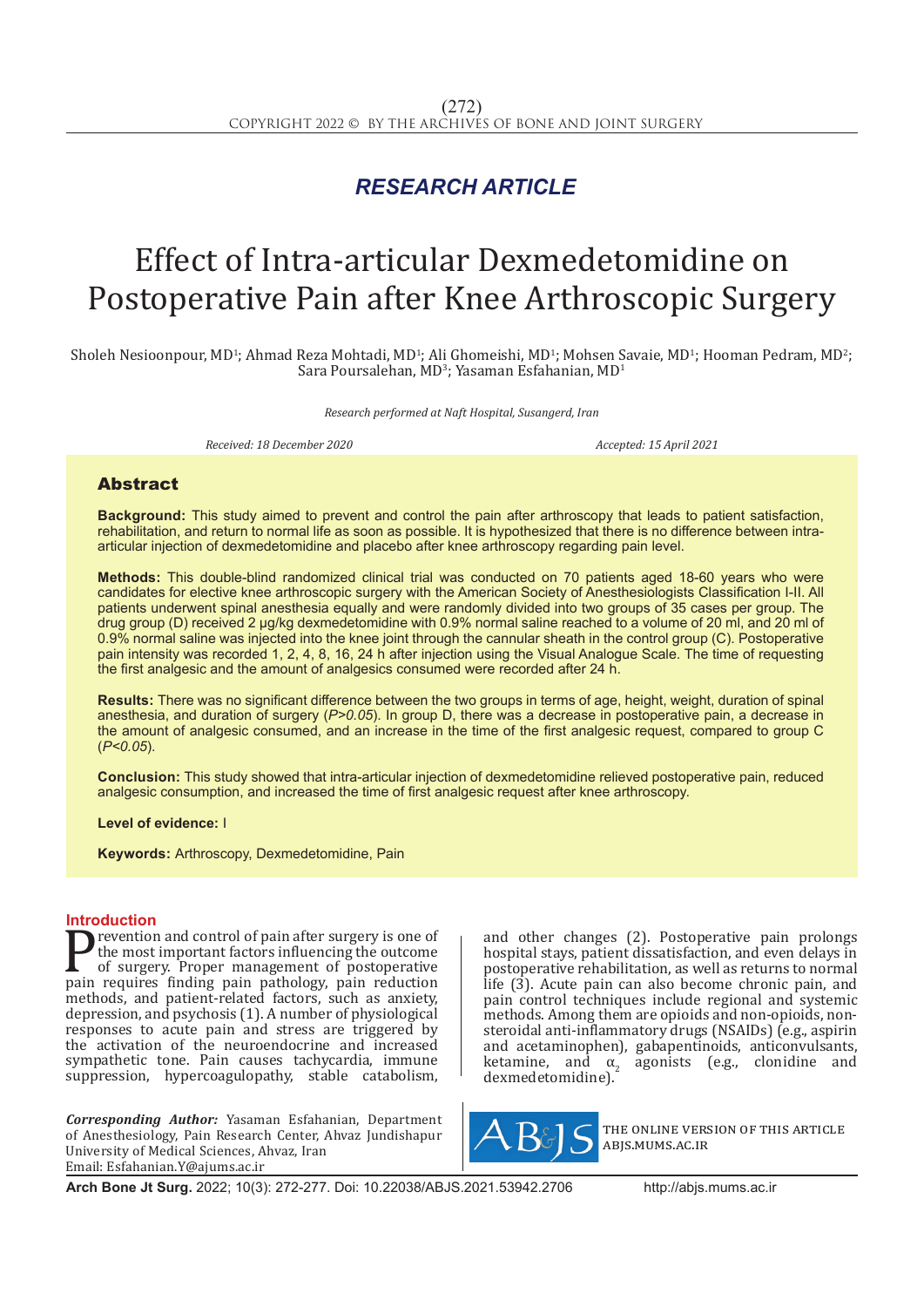## *RESEARCH ARTICLE*

# Effect of Intra-articular Dexmedetomidine on Postoperative Pain after Knee Arthroscopic Surgery

Sholeh Nesioonpour, MD<sup>1</sup>; Ahmad Reza Mohtadi, MD<sup>1</sup>; Ali Ghomeishi, MD<sup>1</sup>; Mohsen Savaie, MD<sup>1</sup>; Hooman Pedram, MD<sup>2</sup>;  $S$ ara Poursalehan, MD<sup>3</sup>; Yasaman Esfahanian, MD<sup>1</sup>

*Research performed at Naft Hospital, Susangerd, Iran*

*Received: 18 December 2020 Accepted: 15 April 2021*

### Abstract

**Background:** This study aimed to prevent and control the pain after arthroscopy that leads to patient satisfaction, rehabilitation, and return to normal life as soon as possible. It is hypothesized that there is no difference between intraarticular injection of dexmedetomidine and placebo after knee arthroscopy regarding pain level.

**Methods:** This double-blind randomized clinical trial was conducted on 70 patients aged 18-60 years who were candidates for elective knee arthroscopic surgery with the American Society of Anesthesiologists Classification I-II. All patients underwent spinal anesthesia equally and were randomly divided into two groups of 35 cases per group. The drug group (D) received 2 μg/kg dexmedetomidine with 0.9% normal saline reached to a volume of 20 ml, and 20 ml of 0.9% normal saline was injected into the knee joint through the cannular sheath in the control group (C). Postoperative pain intensity was recorded 1, 2, 4, 8, 16, 24 h after injection using the Visual Analogue Scale. The time of requesting the first analgesic and the amount of analgesics consumed were recorded after 24 h.

**Results:** There was no significant difference between the two groups in terms of age, height, weight, duration of spinal anesthesia, and duration of surgery (*P>0.05*). In group D, there was a decrease in postoperative pain, a decrease in the amount of analgesic consumed, and an increase in the time of the first analgesic request, compared to group C (*P<0.05*).

**Conclusion:** This study showed that intra-articular injection of dexmedetomidine relieved postoperative pain, reduced analgesic consumption, and increased the time of first analgesic request after knee arthroscopy.

**Level of evidence:** I

**Keywords:** Arthroscopy, Dexmedetomidine, Pain

**Introduction**<br>**The Theorem 2015** revention and control of pain after surgery is one of **Prevention and control of pain after surgery is one of**<br>the most important factors influencing the outcome<br>of surgery. Proper management of postoperative<br>pain requires finding pain pathology, pain reduction<br>methods and pa the most important factors influencing the outcome of surgery. Proper management of postoperative methods, and patient-related factors, such as anxiety, depression, and psychosis (1). A number of physiological responses to acute pain and stress are triggered by the activation of the neuroendocrine and increased sympathetic tone. Pain causes tachycardia, immune suppression, hypercoagulopathy, stable catabolism,

*Corresponding Author:* Yasaman Esfahanian, Department of Anesthesiology, Pain Research Center, Ahvaz Jundishapur University of Medical Sciences, Ahvaz, Iran Email: Esfahanian.Y@ajums.ac.ir

and other changes (2). Postoperative pain prolongs hospital stays, patient dissatisfaction, and even delays in postoperative rehabilitation, as well as returns to normal life (3). Acute pain can also become chronic pain, and pain control techniques include regional and systemic methods. Among them are opioids and non-opioids, nonsteroidal anti-inflammatory drugs (NSAIDs) (e.g., aspirin and acetaminophen), gabapentinoids, anticonvulsants,  $k$ etamine, and  $\alpha_2$  agonists (e.g., clonidine and  $d_{\text{sumedator}}$ ) dexmedetomidine).



the online version of this article abjs.mums.ac.ir

**Arch Bone Jt Surg.** 2022; 10(3): 272-277. Doi: 10.22038/ABJS.2021.53942.2706 http://abjs.mums.ac.ir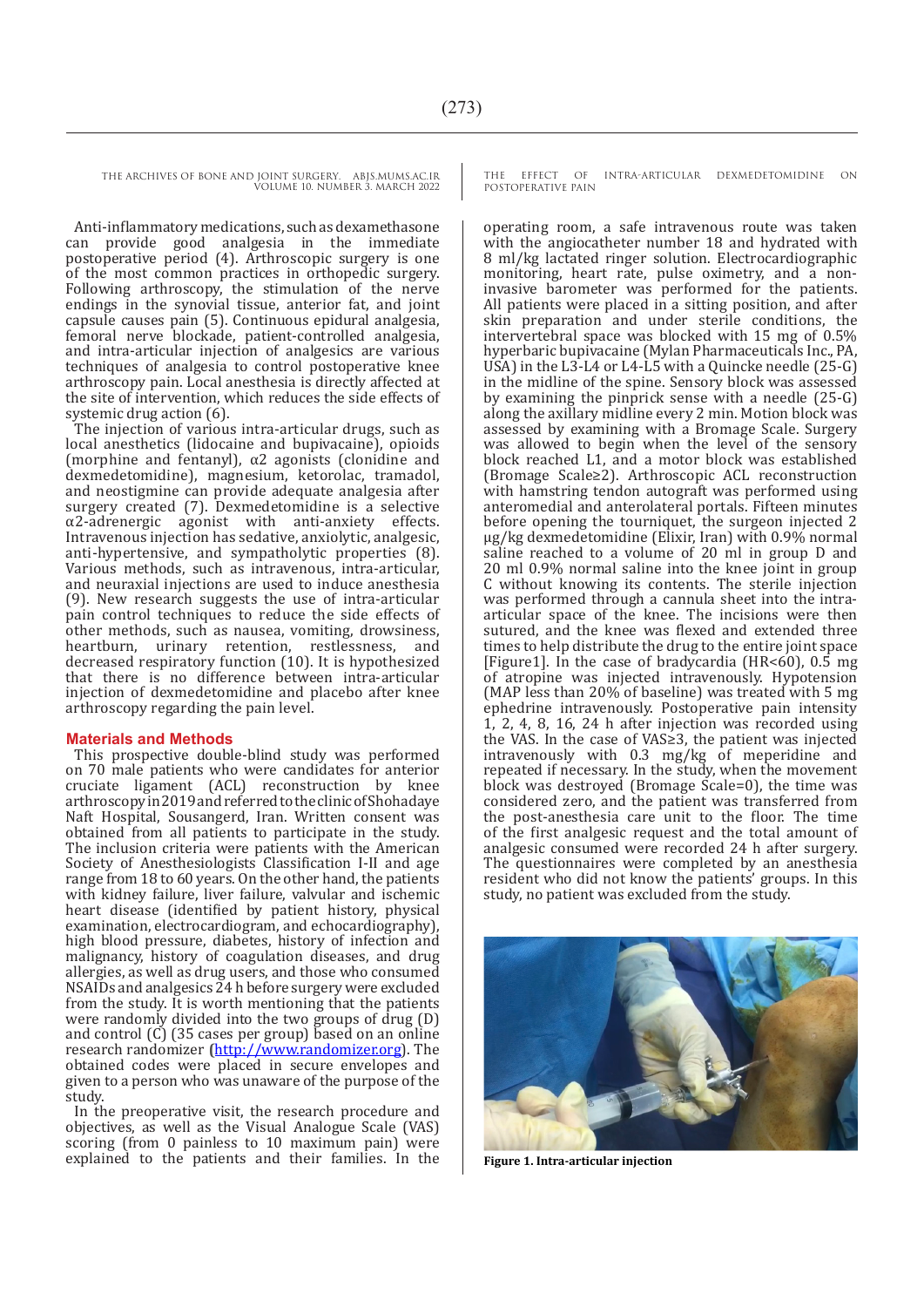Anti-inflammatory medications, such as dexamethasone provide good analgesia in the immediate postoperative period (4). Arthroscopic surgery is one of the most common practices in orthopedic surgery. Following arthroscopy, the stimulation of the nerve endings in the synovial tissue, anterior fat, and joint capsule causes pain (5). Continuous epidural analgesia, femoral nerve blockade, patient-controlled analgesia, and intra-articular injection of analgesics are various techniques of analgesia to control postoperative knee arthroscopy pain. Local anesthesia is directly affected at the site of intervention, which reduces the side effects of systemic drug action (6).

The injection of various intra-articular drugs, such as local anesthetics (lidocaine and bupivacaine), opioids (morphine and fentanyl), α2 agonists (clonidine and dexmedetomidine), magnesium, ketorolac, tramadol, and neostigmine can provide adequate analgesia after surgery created (7). Dexmedetomidine is a selective  $\alpha$ 2-adrenergic agonist with anti-anxiety effects.  $\alpha$ 2-adrenergic agonist with anti-anxiety Intravenous injection has sedative, anxiolytic, analgesic, anti-hypertensive, and sympatholytic properties (8). Various methods, such as intravenous, intra-articular, and neuraxial injections are used to induce anesthesia (9). New research suggests the use of intra-articular pain control techniques to reduce the side effects of other methods, such as nausea, vomiting, drowsiness, heartburn, urinary retention, restlessness, and decreased respiratory function (10). It is hypothesized that there is no difference between intra-articular injection of dexmedetomidine and placebo after knee arthroscopy regarding the pain level.

#### **Materials and Methods**

This prospective double-blind study was performed on 70 male patients who were candidates for anterior cruciate ligament (ACL) reconstruction by knee arthroscopy in 2019 and referred to the clinic of Shohadaye Naft Hospital, Sousangerd, Iran. Written consent was obtained from all patients to participate in the study. The inclusion criteria were patients with the American Society of Anesthesiologists Classification I-II and age range from 18 to 60 years. On the other hand, the patients with kidney failure, liver failure, valvular and ischemic heart disease (identified by patient history, physical examination, electrocardiogram, and echocardiography), high blood pressure, diabetes, history of infection and malignancy, history of coagulation diseases, and drug allergies, as well as drug users, and those who consumed NSAIDs and analgesics 24 h before surgery were excluded from the study. It is worth mentioning that the patients were randomly divided into the two groups of drug (D) and control (C) (35 cases per group) based on an online research randomizer **(**http://www.randomizer.org). The obtained codes were placed in secure envelopes and given to a person who was unaware of the purpose of the study.

In the preoperative visit, the research procedure and objectives, as well as the Visual Analogue Scale (VAS) scoring (from 0 painless to 10 maximum pain) were explained to the patients and their families. In the **Figure 1. Intra-articular injection** 

THE EFFECT OF INTRA-ARTICULAR DEXMEDETOMIDINE ON POSTOPERATIVE PAIN

operating room, a safe intravenous route was taken with the angiocatheter number 18 and hydrated with 8 ml/kg lactated ringer solution. Electrocardiographic monitoring, heart rate, pulse oximetry, and a noninvasive barometer was performed for the patients. All patients were placed in a sitting position, and after skin preparation and under sterile conditions, the intervertebral space was blocked with 15 mg of 0.5% hyperbaric bupivacaine (Mylan Pharmaceuticals Inc., PA, USA) in the L3-L4 or L4-L5 with a Quincke needle  $(25-G)$ in the midline of the spine. Sensory block was assessed by examining the pinprick sense with a needle (25-G) along the axillary midline every 2 min. Motion block was assessed by examining with a Bromage Scale. Surgery was allowed to begin when the level of the sensory block reached L1, and a motor block was established (Bromage Scale≥2). Arthroscopic ACL reconstruction with hamstring tendon autograft was performed using anteromedial and anterolateral portals. Fifteen minutes before opening the tourniquet, the surgeon injected 2 μg/kg dexmedetomidine (Elixir, Iran) with 0.9% normal saline reached to a volume of 20 ml in group D and 20 ml 0.9% normal saline into the knee joint in group C without knowing its contents. The sterile injection was performed through a cannula sheet into the intraarticular space of the knee. The incisions were then sutured, and the knee was flexed and extended three times to help distribute the drug to the entire joint space [Figure1]. In the case of bradycardia (HR<60),  $0.\overline{5}$  mg of atropine was injected intravenously. Hypotension (MAP less than 20% of baseline) was treated with 5 mg ephedrine intravenously. Postoperative pain intensity  $1, 2, 4, 8, 16, 24$  h after injection was recorded using the VAS. In the case of VAS≥3, the patient was injected intravenously with 0.3 mg/kg of meperidine and repeated if necessary. In the study, when the movement block was destroyed (Bromage Scale=0), the time was considered zero, and the patient was transferred from the post-anesthesia care unit to the floor. The time of the first analgesic request and the total amount of analgesic consumed were recorded 24 h after surgery. The questionnaires were completed by an anesthesia resident who did not know the patients' groups. In this study, no patient was excluded from the study.

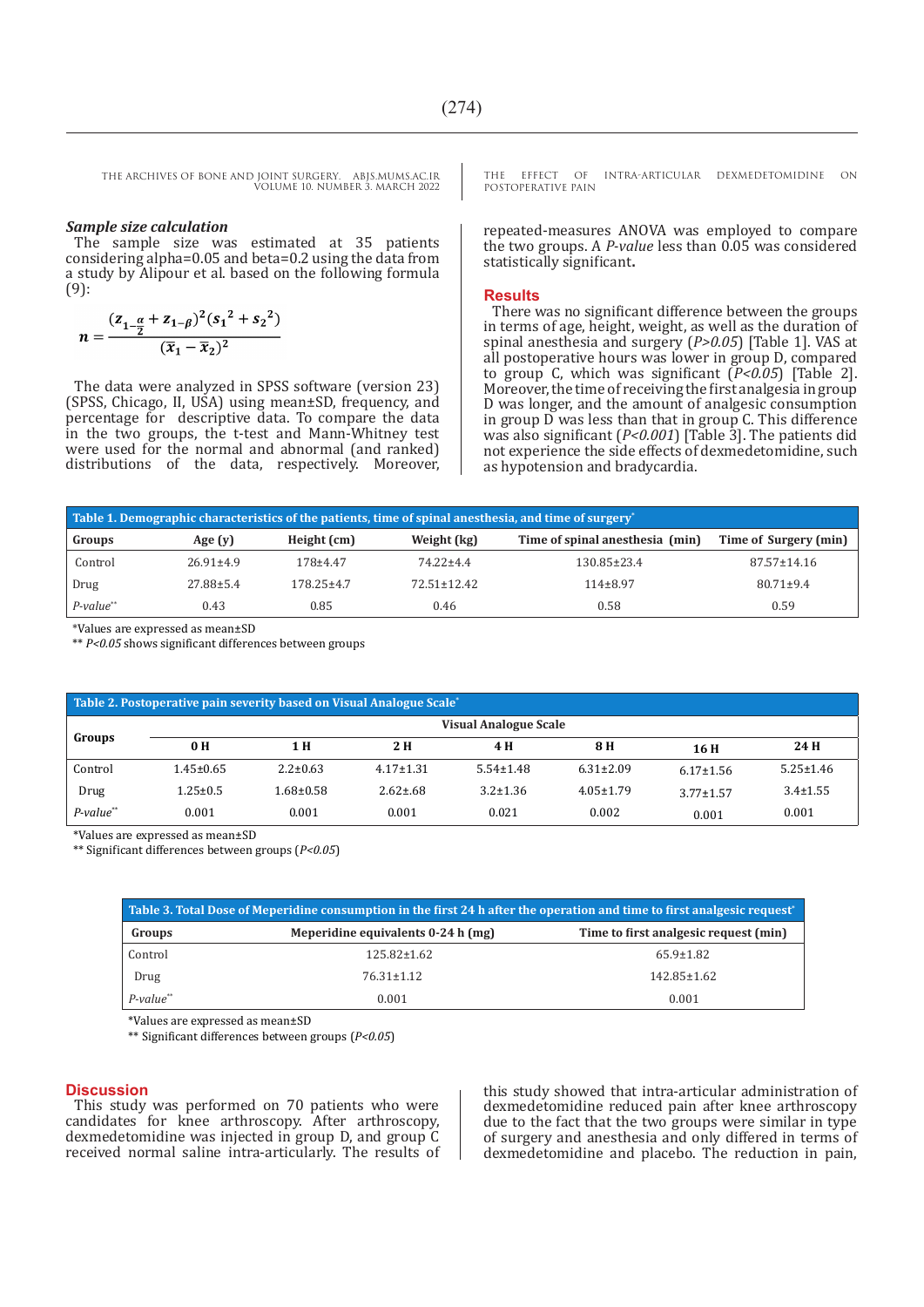#### *Sample size calculation*

The sample size was estimated at 35 patients considering alpha=0.05 and beta=0.2 using the data from a study by Alipour et al. based on the following formula (9):

$$
n = \frac{(z_{1-\frac{\alpha}{2}} + z_{1-\beta})^2 (s_1^2 + s_2^2)}{(\bar{x}_1 - \bar{x}_2)^2}
$$

The data were analyzed in SPSS software (version 23) (SPSS, Chicago, II, USA) using mean±SD, frequency, and percentage for descriptive data. To compare the data in the two groups, the t-test and Mann-Whitney test were used for the normal and abnormal (and ranked) distributions of the data, respectively. Moreover, THE EFFECT OF INTRA-ARTICULAR DEXMEDETOMIDINE ON POSTOPERATIVE PAIN

repeated-measures ANOVA was employed to compare the two groups. A *P-value* less than 0.05 was considered statistically significant**.**

#### **Results**

There was no significant difference between the groups in terms of age, height, weight, as well as the duration of spinal anesthesia and surgery (*P>0.05*) [Table 1]. VAS at all postoperative hours was lower in group D, compared to group C, which was significant (*P<0.05*) [Table 2]. Moreover, the time of receiving the first analgesia in group D was longer, and the amount of analgesic consumption in group D was less than that in group C. This difference was also significant (*P<0.001*) [Table 3]. The patients did not experience the side effects of dexmedetomidine, such as hypotension and bradycardia.

| Table 1. Demographic characteristics of the patients, time of spinal anesthesia, and time of surgery <sup>*</sup> |                 |                  |                   |                                 |                       |  |  |  |  |
|-------------------------------------------------------------------------------------------------------------------|-----------------|------------------|-------------------|---------------------------------|-----------------------|--|--|--|--|
| Groups                                                                                                            | Age $(y)$       | Height (cm)      | Weight (kg)       | Time of spinal anesthesia (min) | Time of Surgery (min) |  |  |  |  |
| Control                                                                                                           | $26.91 \pm 4.9$ | 178±4.47         | 74.22±4.4         | $130.85 \pm 23.4$               | $87.57 \pm 14.16$     |  |  |  |  |
| Drug                                                                                                              | 27.88±5.4       | $178.25 \pm 4.7$ | $72.51 \pm 12.42$ | $114\pm8.97$                    | $80.71 \pm 9.4$       |  |  |  |  |
| $P$ -value**                                                                                                      | 0.43            | 0.85             | 0.46              | 0.58                            | 0.59                  |  |  |  |  |

\*Values are expressed as mean±SD

\*\* *P<0.05* shows significant differences between groups

| Table 2. Postoperative pain severity based on Visual Analogue Scale <sup>*</sup> |                              |                 |                 |                 |                 |                 |                 |  |
|----------------------------------------------------------------------------------|------------------------------|-----------------|-----------------|-----------------|-----------------|-----------------|-----------------|--|
| Groups                                                                           | <b>Visual Analogue Scale</b> |                 |                 |                 |                 |                 |                 |  |
|                                                                                  | 0 <sub>H</sub>               | 1 H             | 2 H             | 4 H             | 8 H             | 16 H            | 24 H            |  |
| Control                                                                          | $1.45 \pm 0.65$              | $2.2 \pm 0.63$  | $4.17 \pm 1.31$ | $5.54 \pm 1.48$ | $6.31 \pm 2.09$ | $6.17 \pm 1.56$ | $5.25 \pm 1.46$ |  |
| Drug                                                                             | $1.25 \pm 0.5$               | $1.68 \pm 0.58$ | $2.62 \pm .68$  | $3.2 \pm 1.36$  | $4.05 \pm 1.79$ | $3.77 + 1.57$   | $3.4 \pm 1.55$  |  |
| $P$ -value**                                                                     | 0.001                        | 0.001           | 0.001           | 0.021           | 0.002           | 0.001           | 0.001           |  |

\*Values are expressed as mean±SD

\*\* Significant differences between groups (*P<0.05*)

| "Table 3. Total Dose of Meperidine consumption in the first 24 h after the operation and time to first analgesic request |                                    |                                       |  |  |  |
|--------------------------------------------------------------------------------------------------------------------------|------------------------------------|---------------------------------------|--|--|--|
| Groups                                                                                                                   | Meperidine equivalents 0-24 h (mg) | Time to first analgesic request (min) |  |  |  |
| Control                                                                                                                  | $125.82 \pm 1.62$                  | $65.9 \pm 1.82$                       |  |  |  |
| Drug                                                                                                                     | $76.31 \pm 1.12$                   | $142.85 \pm 1.62$                     |  |  |  |
| $P$ -value <sup>**</sup>                                                                                                 | 0.001                              | 0.001                                 |  |  |  |

\*Values are expressed as mean±SD

\*\* Significant differences between groups (*P<0.05*)

#### **Discussion**

This study was performed on 70 patients who were candidates for knee arthroscopy. After arthroscopy, dexmedetomidine was injected in group D, and group C received normal saline intra-articularly. The results of this study showed that intra-articular administration of dexmedetomidine reduced pain after knee arthroscopy due to the fact that the two groups were similar in type of surgery and anesthesia and only differed in terms of dexmedetomidine and placebo. The reduction in pain,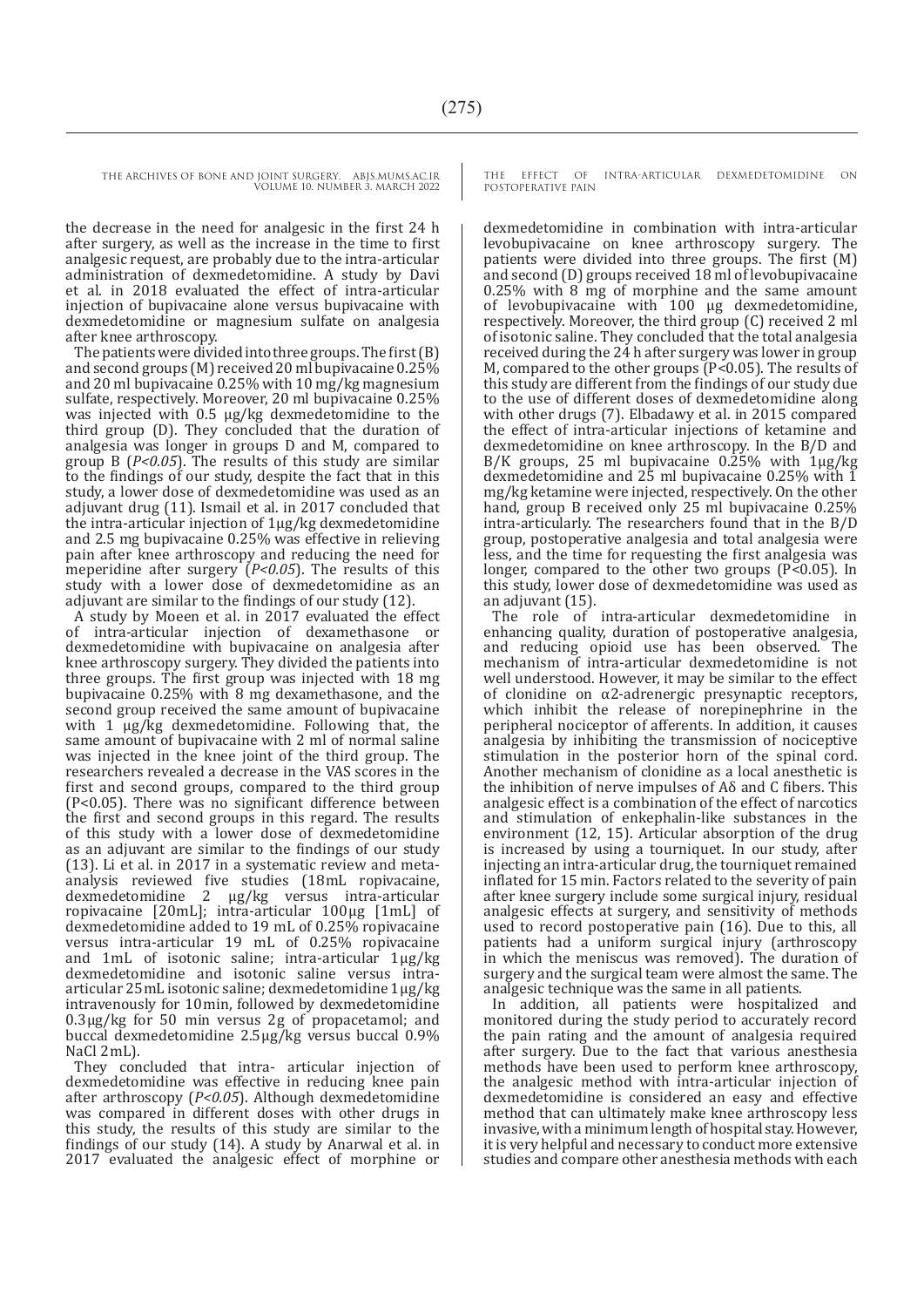THE ARCHIVES OF BONE AND JOINT SURGERY. ABJS.MUMS.AC.IR

VOLUME 10. NUMBER 3. MARCH 2022

the decrease in the need for analgesic in the first 24 h after surgery, as well as the increase in the time to first analgesic request, are probably due to the intra-articular administration of dexmedetomidine. A study by Davi et al. in 2018 evaluated the effect of intra-articular injection of bupivacaine alone versus bupivacaine with dexmedetomidine or magnesium sulfate on analgesia after knee arthroscopy.

The patients were divided into three groups. The first (B) and second groups (M) received 20 ml bupivacaine 0.25% and 20 ml bupivacaine 0.25% with 10 mg/kg magnesium sulfate, respectively. Moreover, 20 ml bupivacaine 0.25% was injected with 0.5 µg/kg dexmedetomidine to the third group (D). They concluded that the duration of analgesia was longer in groups D and M, compared to group B (*P<0.05*). The results of this study are similar to the findings of our study, despite the fact that in this study, a lower dose of dexmedetomidine was used as an adjuvant drug (11). Ismail et al. in 2017 concluded that the intra-articular injection of 1µg/kg dexmedetomidine and 2.5 mg bupivacaine 0.25% was effective in relieving pain after knee arthroscopy and reducing the need for meperidine after surgery (*P<0.05*). The results of this study with a lower dose of dexmedetomidine as an adjuvant are similar to the findings of our study (12).

A study by Moeen et al. in 2017 evaluated the effect of intra-articular injection of dexamethasone or dexmedetomidine with bupivacaine on analgesia after knee arthroscopy surgery. They divided the patients into three groups. The first group was injected with 18 mg bupivacaine 0.25% with 8 mg dexamethasone, and the second group received the same amount of bupivacaine with 1  $\mu$ g/kg dexmedetomidine. Following that, the same amount of bupivacaine with 2 ml of normal saline was injected in the knee joint of the third group. The researchers revealed a decrease in the VAS scores in the first and second groups, compared to the third group (P<0.05). There was no significant difference between the first and second groups in this regard. The results of this study with a lower dose of dexmedetomidine as an adjuvant are similar to the findings of our study (13). Li et al. in 2017 in a systematic review and metaanalysis reviewed five studies (18 mL ropivacaine, dexmedetomidine 2  μg/kg versus intra-articular ropivacaine [20 mL]; intra-articular 100 μg [1 mL] of dexmedetomidine added to 19  mL of 0.25% ropivacaine versus intra-articular 19  mL of 0.25% ropivacaine and 1 mL of isotonic saline; intra-articular 1 μg/kg dexmedetomidine and isotonic saline versus intraarticular 25 mL isotonic saline; dexmedetomidine 1 μg/kg intravenously for 10 min, followed by dexmedetomidine 0.3 μg/kg for 50  min versus 2 g of propacetamol; and buccal dexmedetomidine 2.5 μg/kg versus buccal 0.9% NaCl 2mL).

They concluded that intra- articular injection of dexmedetomidine was effective in reducing knee pain after arthroscopy (*P<0.05*). Although dexmedetomidine was compared in different doses with other drugs in this study, the results of this study are similar to the findings of our study (14). A study by Anarwal et al. in 2017 evaluated the analgesic effect of morphine or

THE EFFECT OF INTRA-ARTICULAR DEXMEDETOMIDINE ON POSTOPERATIVE PAIN

dexmedetomidine in combination with intra-articular levobupivacaine on knee arthroscopy surgery. The patients were divided into three groups. The first (M) and second (D) groups received 18 ml of levobupivacaine 0.25% with 8 mg of morphine and the same amount of levobupivacaine with 100 µg dexmedetomidine, respectively. Moreover, the third group (C) received 2 ml of isotonic saline. They concluded that the total analgesia received during the 24 h after surgery was lower in group M, compared to the other groups (P<0.05). The results of this study are different from the findings of our study due to the use of different doses of dexmedetomidine along with other drugs (7). Elbadawy et al. in 2015 compared the effect of intra-articular injections of ketamine and dexmedetomidine on knee arthroscopy. In the B/D and B/K groups, 25 ml bupivacaine 0.25% with 1µg/kg dexmedetomidine and 25 ml bupivacaine 0.25% with 1 mg/kg ketamine were injected, respectively. On the other hand, group B received only 25 ml bupivacaine 0.25% intra-articularly. The researchers found that in the B/D group, postoperative analgesia and total analgesia were less, and the time for requesting the first analgesia was longer, compared to the other two groups (P<0.05). In this study, lower dose of dexmedetomidine was used as an adjuvant (15).

The role of intra-articular dexmedetomidine in enhancing quality, duration of postoperative analgesia, and reducing opioid use has been observed. The mechanism of intra-articular dexmedetomidine is not well understood. However, it may be similar to the effect of clonidine on α2-adrenergic presynaptic receptors, which inhibit the release of norepinephrine in the peripheral nociceptor of afferents. In addition, it causes analgesia by inhibiting the transmission of nociceptive stimulation in the posterior horn of the spinal cord. Another mechanism of clonidine as a local anesthetic is the inhibition of nerve impulses of Aδ and C fibers. This analgesic effect is a combination of the effect of narcotics and stimulation of enkephalin-like substances in the environment (12, 15). Articular absorption of the drug is increased by using a tourniquet. In our study, after injecting an intra-articular drug, the tourniquet remained inflated for 15 min. Factors related to the severity of pain after knee surgery include some surgical injury, residual analgesic effects at surgery, and sensitivity of methods used to record postoperative pain (16). Due to this, all patients had a uniform surgical injury (arthroscopy in which the meniscus was removed). The duration of surgery and the surgical team were almost the same. The analgesic technique was the same in all patients.

In addition, all patients were hospitalized and monitored during the study period to accurately record the pain rating and the amount of analgesia required after surgery. Due to the fact that various anesthesia methods have been used to perform knee arthroscopy, the analgesic method with intra-articular injection of dexmedetomidine is considered an easy and effective method that can ultimately make knee arthroscopy less invasive, with a minimum length of hospital stay. However, it is very helpful and necessary to conduct more extensive studies and compare other anesthesia methods with each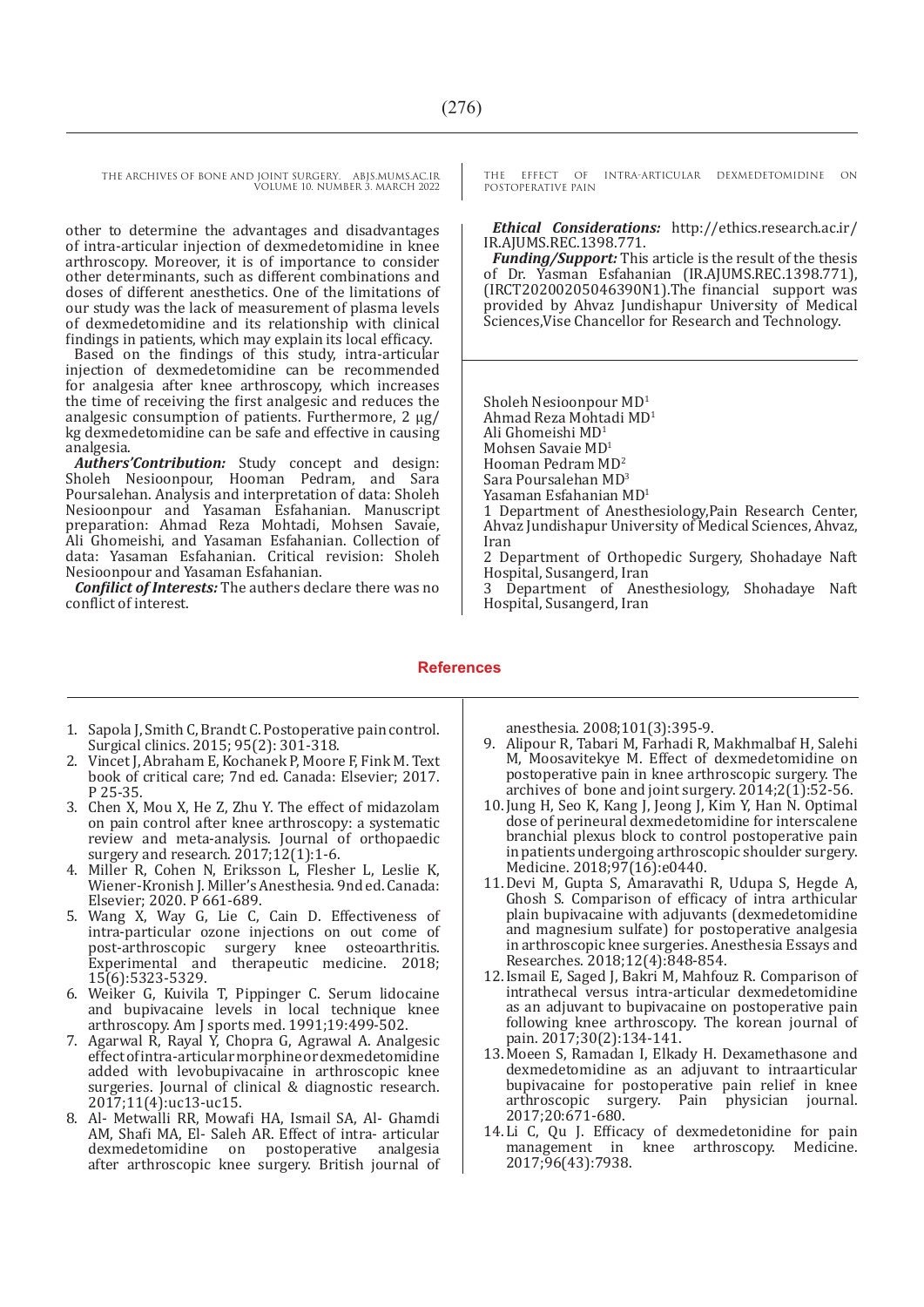other to determine the advantages and disadvantages of intra-articular injection of dexmedetomidine in knee arthroscopy. Moreover, it is of importance to consider other determinants, such as different combinations and doses of different anesthetics. One of the limitations of our study was the lack of measurement of plasma levels of dexmedetomidine and its relationship with clinical findings in patients, which may explain its local efficacy.

Based on the findings of this study, intra-articular injection of dexmedetomidine can be recommended for analgesia after knee arthroscopy, which increases the time of receiving the first analgesic and reduces the analgesic consumption of patients. Furthermore, 2 µg/ kg dexmedetomidine can be safe and effective in causing analgesia.

*Authers'Contribution:* Study concept and design: Sholeh Nesioonpour, Hooman Pedram, and Sara Poursalehan. Analysis and interpretation of data: Sholeh Nesioonpour and Yasaman Esfahanian. Manuscript preparation: Ahmad Reza Mohtadi, Mohsen Savaie, Ali Ghomeishi, and Yasaman Esfahanian. Collection of data: Yasaman Esfahanian. Critical revision: Sholeh Nesioonpour and Yasaman Esfahanian.

*Confilict of Interests:* The authers declare there was no conflict of interest.

THE EFFECT OF INTRA-ARTICULAR DEXMEDETOMIDINE ON POSTOPERATIVE PAIN

#### *Ethical Considerations:* http://ethics.research.ac.ir/ IR.AJUMS.REC.1398.771.

*Funding/Support:* This article is the result of the thesis of Dr. Yasman Esfahanian (IR.AJUMS.REC.1398.771), (IRCT20200205046390N1).The financial support was provided by Ahvaz Jundishapur University of Medical Sciences,Vise Chancellor for Research and Technology.

Sholeh Nesioonpour MD1 Ahmad Reza Mohtadi MD<sup>1</sup> Ali Ghomeishi MD1 Mohsen Savaie MD<sup>1</sup> Hooman Pedram MD<sup>2</sup> Sara Poursalehan MD<sup>3</sup> Yasaman Esfahanian MD<sup>1</sup>

1 Department of Anesthesiology,Pain Research Center, Ahvaz Jundishapur University of Medical Sciences, Ahvaz, Iran

2 Department of Orthopedic Surgery, Shohadaye Naft Hospital, Susangerd, Iran

3 Department of Anesthesiology, Shohadaye Naft Hospital, Susangerd, Iran

#### **References**

- 1. Sapola J, Smith C, Brandt C. Postoperative pain control. Surgical clinics. 2015; 95(2): 301-318.
- 2. Vincet J, Abraham E, Kochanek P, Moore F, Fink M. Text book of critical care; 7nd ed. Canada: Elsevier; 2017. P 25-35.
- 3. Chen X, Mou X, He Z, Zhu Y. The effect of midazolam on pain control after knee arthroscopy: a systematic review and meta-analysis. Journal of orthopaedic surgery and research. 2017;12(1):1-6.
- 4. Miller R, Cohen N, Eriksson L, Flesher L, Leslie K, Wiener-Kronish J. Miller's Anesthesia. 9nd ed. Canada: Elsevier; 2020. P 661-689.
- 5. Wang X, Way G, Lie C, Cain D. Effectiveness of intra-particular ozone injections on out come of post-arthroscopic surgery knee osteoarthritis. Experimental and therapeutic medicine. 2018;<br>45% Faas Faas 15(6):5323-5329.
- 6. Weiker G, Kuivila T, Pippinger C. Serum lidocaine and bupivacaine levels in local technique knee arthroscopy. Am J sports med. 1991;19:499-502.
- 7. Agarwal R, Rayal Y, Chopra G, Agrawal A. Analgesic effect of intra-articular morphine or dexmedetomidine added with levobupivacaine in arthroscopic knee surgeries. Journal of clinical & diagnostic research. 2017;11(4):uc13-uc15.
- 8. Al- Metwalli RR, Mowafi HA, Ismail SA, Al- Ghamdi AM, Shafi MA, El- Saleh AR. Effect of intra- articular postoperative analgesia after arthroscopic knee surgery. British journal of

anesthesia. 2008;101(3):395-9.

- 9. Alipour R, Tabari M, Farhadi R, Makhmalbaf H, Salehi M, Moosavitekye M. Effect of dexmedetomidine on postoperative pain in knee arthroscopic surgery. The archives of bone and joint surgery.  $2014;2(1):52-56$ .
- 10.Jung H, Seo K, Kang J, Jeong J, Kim Y, Han N. Optimal dose of perineural dexmedetomidine for interscalene branchial plexus block to control postoperative pain in patients undergoing arthroscopic shoulder surgery. Medicine. 2018;97(16):e0440.
- 11.Devi M, Gupta S, Amaravathi R, Udupa S, Hegde A, Ghosh S. Comparison of efficacy of intra arthicular plain bupivacaine with adjuvants (dexmedetomidine and magnesium sulfate) for postoperative analgesia in arthroscopic knee surgeries. Anesthesia Essays and Researches. 2018;12(4):848-854.
- 12.Ismail E, Saged J, Bakri M, Mahfouz R. Comparison of intrathecal versus intra-articular dexmedetomidine as an adjuvant to bupivacaine on postoperative pain following knee arthroscopy. The korean journal of pain. 2017;30(2):134-141.
- 13.Moeen S, Ramadan I, Elkady H. Dexamethasone and dexmedetomidine as an adjuvant to intraarticular bupivacaine for postoperative pain relief in knee arthroscopic surgery. Pain physician journal. 2017;20:671-680.
- 14.Li C, Qu J. Efficacy of dexmedetonidine for pain management in knee arthroscopy. Medicine. 2017;96(43):7938.